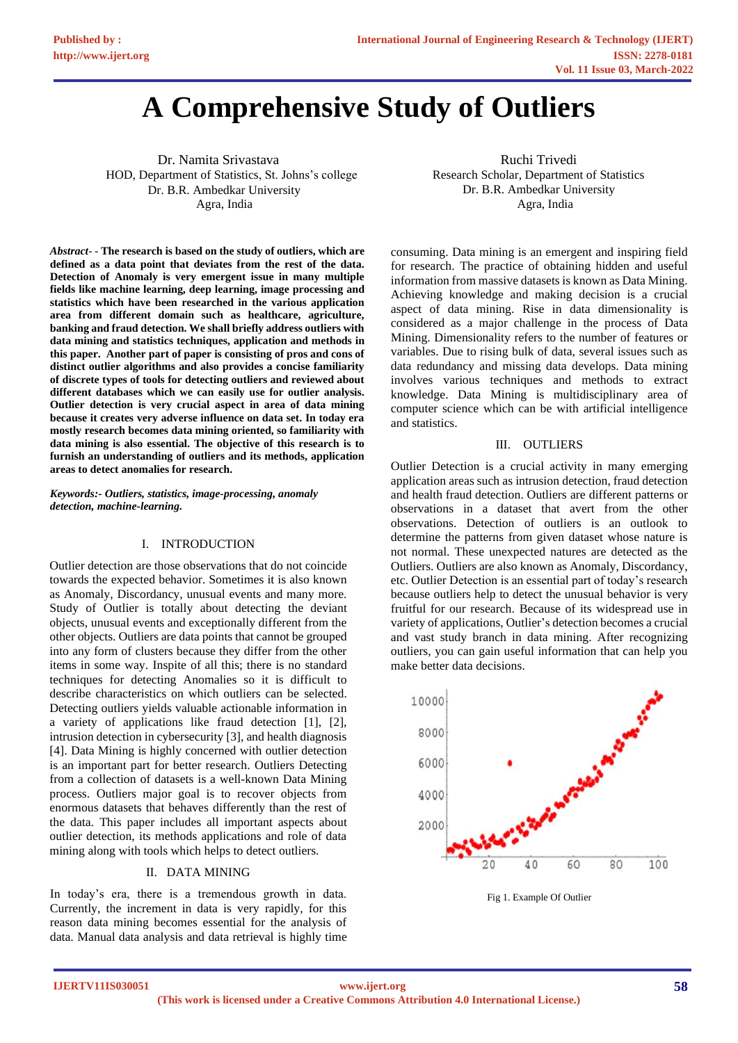# **A Comprehensive Study of Outliers**

Dr. Namita Srivastava HOD, Department of Statistics, St. Johns's college Dr. B.R. Ambedkar University Agra, India

*Abstract*- - **The research is based on the study of outliers, which are defined as a data point that deviates from the rest of the data. Detection of Anomaly is very emergent issue in many multiple fields like machine learning, deep learning, image processing and statistics which have been researched in the various application area from different domain such as healthcare, agriculture, banking and fraud detection. We shall briefly address outliers with data mining and statistics techniques, application and methods in this paper. Another part of paper is consisting of pros and cons of distinct outlier algorithms and also provides a concise familiarity of discrete types of tools for detecting outliers and reviewed about different databases which we can easily use for outlier analysis. Outlier detection is very crucial aspect in area of data mining because it creates very adverse influence on data set. In today era mostly research becomes data mining oriented, so familiarity with data mining is also essential. The objective of this research is to furnish an understanding of outliers and its methods, application areas to detect anomalies for research.**

*Keywords:- Outliers, statistics, image-processing, anomaly detection, machine-learning.*

#### Ι. INTRODUCTION

Outlier detection are those observations that do not coincide towards the expected behavior. Sometimes it is also known as Anomaly, Discordancy, unusual events and many more. Study of Outlier is totally about detecting the deviant objects, unusual events and exceptionally different from the other objects. Outliers are data points that cannot be grouped into any form of clusters because they differ from the other items in some way. Inspite of all this; there is no standard techniques for detecting Anomalies so it is difficult to describe characteristics on which outliers can be selected. Detecting outliers yields valuable actionable information in a variety of applications like fraud detection [1], [2], intrusion detection in cybersecurity [3], and health diagnosis [4]. Data Mining is highly concerned with outlier detection is an important part for better research. Outliers Detecting from a collection of datasets is a well-known Data Mining process. Outliers major goal is to recover objects from enormous datasets that behaves differently than the rest of the data. This paper includes all important aspects about outlier detection, its methods applications and role of data mining along with tools which helps to detect outliers.

## Ⅱ. DATA MINING

In today's era, there is a tremendous growth in data. Currently, the increment in data is very rapidly, for this reason data mining becomes essential for the analysis of data. Manual data analysis and data retrieval is highly time

 Ruchi Trivedi Research Scholar, Department of Statistics Dr. B.R. Ambedkar University Agra, India

consuming. Data mining is an emergent and inspiring field for research. The practice of obtaining hidden and useful information from massive datasets is known as Data Mining. Achieving knowledge and making decision is a crucial aspect of data mining. Rise in data dimensionality is considered as a major challenge in the process of Data Mining. Dimensionality refers to the number of features or variables. Due to rising bulk of data, several issues such as data redundancy and missing data develops. Data mining involves various techniques and methods to extract knowledge. Data Mining is multidisciplinary area of computer science which can be with artificial intelligence and statistics.

#### Ⅲ. OUTLIERS

Outlier Detection is a crucial activity in many emerging application areas such as intrusion detection, fraud detection and health fraud detection. Outliers are different patterns or observations in a dataset that avert from the other observations. Detection of outliers is an outlook to determine the patterns from given dataset whose nature is not normal. These unexpected natures are detected as the Outliers. Outliers are also known as Anomaly, Discordancy, etc. Outlier Detection is an essential part of today's research because outliers help to detect the unusual behavior is very fruitful for our research. Because of its widespread use in variety of applications, Outlier's detection becomes a crucial and vast study branch in data mining. After recognizing outliers, you can gain useful information that can help you make better data decisions.



Fig 1. Example Of Outlier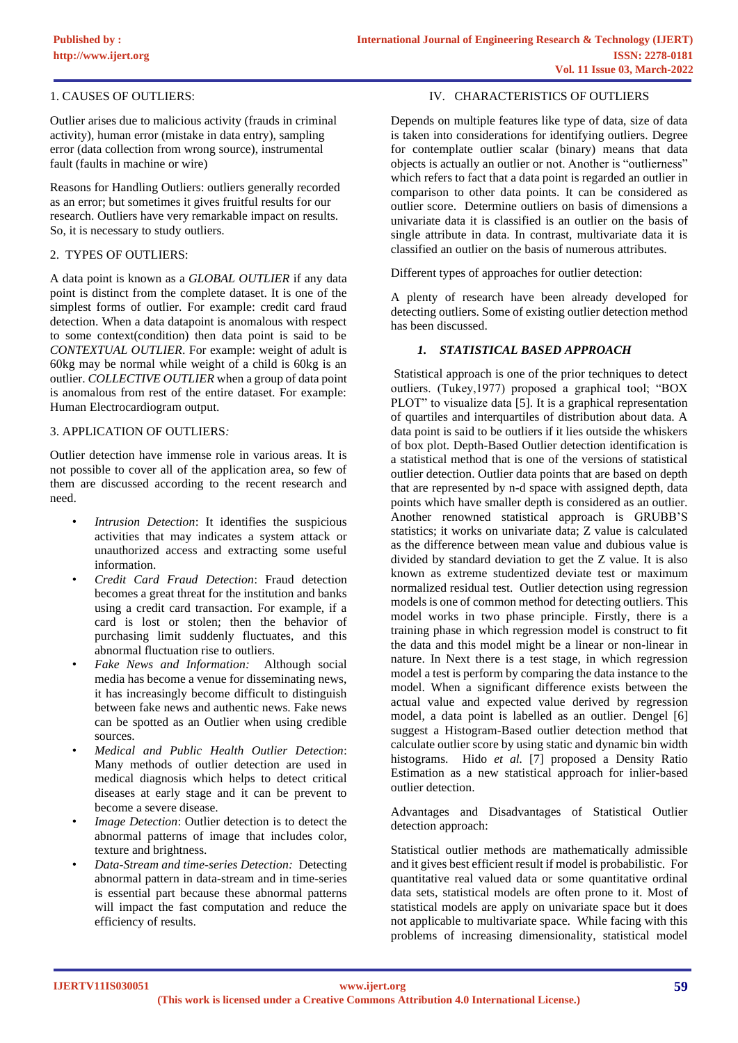## 1. CAUSES OF OUTLIERS:

Outlier arises due to malicious activity (frauds in criminal activity), human error (mistake in data entry), sampling error (data collection from wrong source), instrumental fault (faults in machine or wire)

Reasons for Handling Outliers: outliers generally recorded as an error; but sometimes it gives fruitful results for our research. Outliers have very remarkable impact on results. So, it is necessary to study outliers.

## 2. TYPES OF OUTLIERS:

A data point is known as a *GLOBAL OUTLIER* if any data point is distinct from the complete dataset. It is one of the simplest forms of outlier. For example: credit card fraud detection. When a data datapoint is anomalous with respect to some context(condition) then data point is said to be *CONTEXTUAL OUTLIER*. For example: weight of adult is 60kg may be normal while weight of a child is 60kg is an outlier. *COLLECTIVE OUTLIER* when a group of data point is anomalous from rest of the entire dataset. For example: Human Electrocardiogram output.

#### 3. APPLICATION OF OUTLIERS*:*

Outlier detection have immense role in various areas. It is not possible to cover all of the application area, so few of them are discussed according to the recent research and need.

- *Intrusion Detection*: It identifies the suspicious activities that may indicates a system attack or unauthorized access and extracting some useful information.
- *Credit Card Fraud Detection*: Fraud detection becomes a great threat for the institution and banks using a credit card transaction. For example, if a card is lost or stolen; then the behavior of purchasing limit suddenly fluctuates, and this abnormal fluctuation rise to outliers.
- *Fake News and Information:* Although social media has become a venue for disseminating news, it has increasingly become difficult to distinguish between fake news and authentic news. Fake news can be spotted as an Outlier when using credible sources.
- *Medical and Public Health Outlier Detection*: Many methods of outlier detection are used in medical diagnosis which helps to detect critical diseases at early stage and it can be prevent to become a severe disease.
- *Image Detection:* Outlier detection is to detect the abnormal patterns of image that includes color, texture and brightness.
- *Data-Stream and time-series Detection:* Detecting abnormal pattern in data-stream and in time-series is essential part because these abnormal patterns will impact the fast computation and reduce the efficiency of results.

## Ⅳ. CHARACTERISTICS OF OUTLIERS

Depends on multiple features like type of data, size of data is taken into considerations for identifying outliers. Degree for contemplate outlier scalar (binary) means that data objects is actually an outlier or not. Another is "outlierness" which refers to fact that a data point is regarded an outlier in comparison to other data points. It can be considered as outlier score. Determine outliers on basis of dimensions a univariate data it is classified is an outlier on the basis of single attribute in data. In contrast, multivariate data it is classified an outlier on the basis of numerous attributes.

Different types of approaches for outlier detection:

A plenty of research have been already developed for detecting outliers. Some of existing outlier detection method has been discussed.

## *1. STATISTICAL BASED APPROACH*

Statistical approach is one of the prior techniques to detect outliers. (Tukey,1977) proposed a graphical tool; "BOX PLOT" to visualize data [5]. It is a graphical representation of quartiles and interquartiles of distribution about data. A data point is said to be outliers if it lies outside the whiskers of box plot. Depth-Based Outlier detection identification is a statistical method that is one of the versions of statistical outlier detection. Outlier data points that are based on depth that are represented by n-d space with assigned depth, data points which have smaller depth is considered as an outlier. Another renowned statistical approach is GRUBB'S statistics; it works on univariate data; Z value is calculated as the difference between mean value and dubious value is divided by standard deviation to get the Z value. It is also known as extreme studentized deviate test or maximum normalized residual test. Outlier detection using regression models is one of common method for detecting outliers. This model works in two phase principle. Firstly, there is a training phase in which regression model is construct to fit the data and this model might be a linear or non-linear in nature. In Next there is a test stage, in which regression model a test is perform by comparing the data instance to the model. When a significant difference exists between the actual value and expected value derived by regression model, a data point is labelled as an outlier. Dengel [6] suggest a Histogram-Based outlier detection method that calculate outlier score by using static and dynamic bin width histograms. Hido *et al.* [7] proposed a Density Ratio Estimation as a new statistical approach for inlier-based outlier detection.

Advantages and Disadvantages of Statistical Outlier detection approach:

Statistical outlier methods are mathematically admissible and it gives best efficient result if model is probabilistic. For quantitative real valued data or some quantitative ordinal data sets, statistical models are often prone to it. Most of statistical models are apply on univariate space but it does not applicable to multivariate space. While facing with this problems of increasing dimensionality, statistical model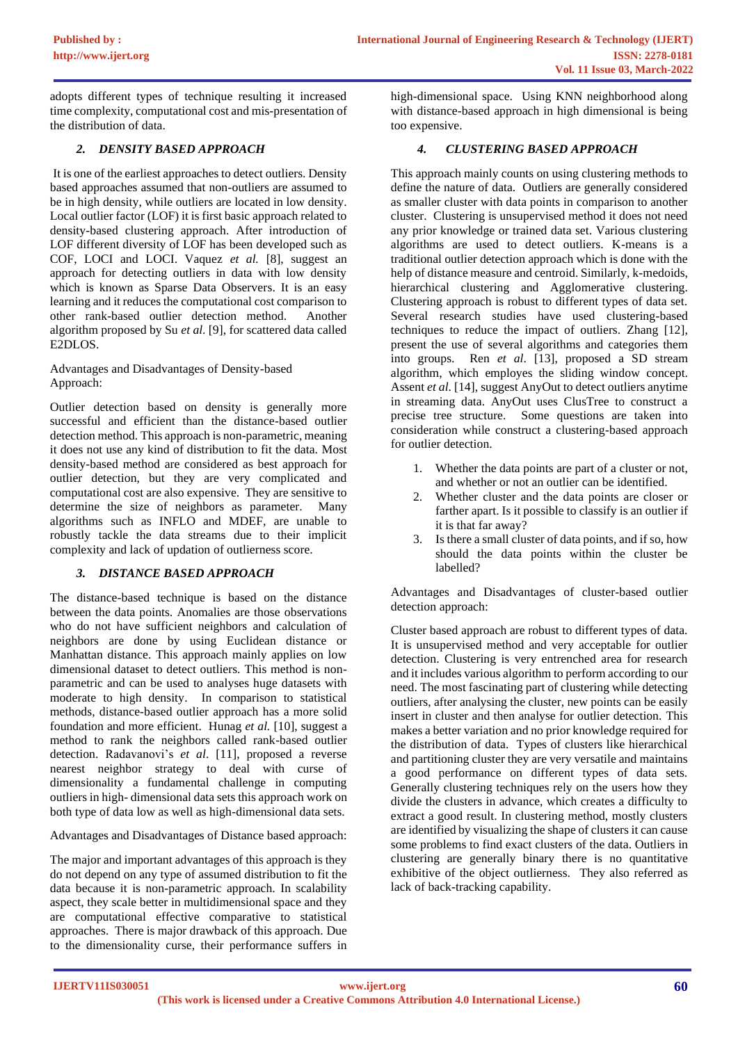adopts different types of technique resulting it increased time complexity, computational cost and mis-presentation of the distribution of data.

# *2. DENSITY BASED APPROACH*

It is one of the earliest approaches to detect outliers. Density based approaches assumed that non-outliers are assumed to be in high density, while outliers are located in low density. Local outlier factor (LOF) it is first basic approach related to density-based clustering approach. After introduction of LOF different diversity of LOF has been developed such as COF, LOCI and LOCI. Vaquez *et al.* [8], suggest an approach for detecting outliers in data with low density which is known as Sparse Data Observers. It is an easy learning and it reduces the computational cost comparison to other rank-based outlier detection method. Another algorithm proposed by Su *et al*. [9], for scattered data called E2DLOS.

Advantages and Disadvantages of Density-based Approach:

Outlier detection based on density is generally more successful and efficient than the distance-based outlier detection method. This approach is non-parametric, meaning it does not use any kind of distribution to fit the data. Most density-based method are considered as best approach for outlier detection, but they are very complicated and computational cost are also expensive. They are sensitive to determine the size of neighbors as parameter. Many algorithms such as INFLO and MDEF, are unable to robustly tackle the data streams due to their implicit complexity and lack of updation of outlierness score.

## *3. DISTANCE BASED APPROACH*

The distance-based technique is based on the distance between the data points. Anomalies are those observations who do not have sufficient neighbors and calculation of neighbors are done by using Euclidean distance or Manhattan distance. This approach mainly applies on low dimensional dataset to detect outliers. This method is nonparametric and can be used to analyses huge datasets with moderate to high density. In comparison to statistical methods, distance-based outlier approach has a more solid foundation and more efficient. Hunag *et al.* [10], suggest a method to rank the neighbors called rank-based outlier detection. Radavanovi's *et al*. [11], proposed a reverse nearest neighbor strategy to deal with curse of dimensionality a fundamental challenge in computing outliers in high- dimensional data sets this approach work on both type of data low as well as high-dimensional data sets.

Advantages and Disadvantages of Distance based approach:

The major and important advantages of this approach is they do not depend on any type of assumed distribution to fit the data because it is non-parametric approach. In scalability aspect, they scale better in multidimensional space and they are computational effective comparative to statistical approaches. There is major drawback of this approach. Due to the dimensionality curse, their performance suffers in high-dimensional space. Using KNN neighborhood along with distance-based approach in high dimensional is being too expensive.

# *4. CLUSTERING BASED APPROACH*

This approach mainly counts on using clustering methods to define the nature of data. Outliers are generally considered as smaller cluster with data points in comparison to another cluster. Clustering is unsupervised method it does not need any prior knowledge or trained data set. Various clustering algorithms are used to detect outliers. K-means is a traditional outlier detection approach which is done with the help of distance measure and centroid. Similarly, k-medoids, hierarchical clustering and Agglomerative clustering. Clustering approach is robust to different types of data set. Several research studies have used clustering-based techniques to reduce the impact of outliers. Zhang [12], present the use of several algorithms and categories them into groups. Ren *et al*. [13], proposed a SD stream algorithm, which employes the sliding window concept. Assent *et al*. [14], suggest AnyOut to detect outliers anytime in streaming data. AnyOut uses ClusTree to construct a precise tree structure. Some questions are taken into consideration while construct a clustering-based approach for outlier detection.

- 1. Whether the data points are part of a cluster or not, and whether or not an outlier can be identified.
- 2. Whether cluster and the data points are closer or farther apart. Is it possible to classify is an outlier if it is that far away?
- 3. Is there a small cluster of data points, and if so, how should the data points within the cluster be labelled?

Advantages and Disadvantages of cluster-based outlier detection approach:

Cluster based approach are robust to different types of data. It is unsupervised method and very acceptable for outlier detection. Clustering is very entrenched area for research and it includes various algorithm to perform according to our need. The most fascinating part of clustering while detecting outliers, after analysing the cluster, new points can be easily insert in cluster and then analyse for outlier detection. This makes a better variation and no prior knowledge required for the distribution of data. Types of clusters like hierarchical and partitioning cluster they are very versatile and maintains a good performance on different types of data sets. Generally clustering techniques rely on the users how they divide the clusters in advance, which creates a difficulty to extract a good result. In clustering method, mostly clusters are identified by visualizing the shape of clusters it can cause some problems to find exact clusters of the data. Outliers in clustering are generally binary there is no quantitative exhibitive of the object outlierness. They also referred as lack of back-tracking capability.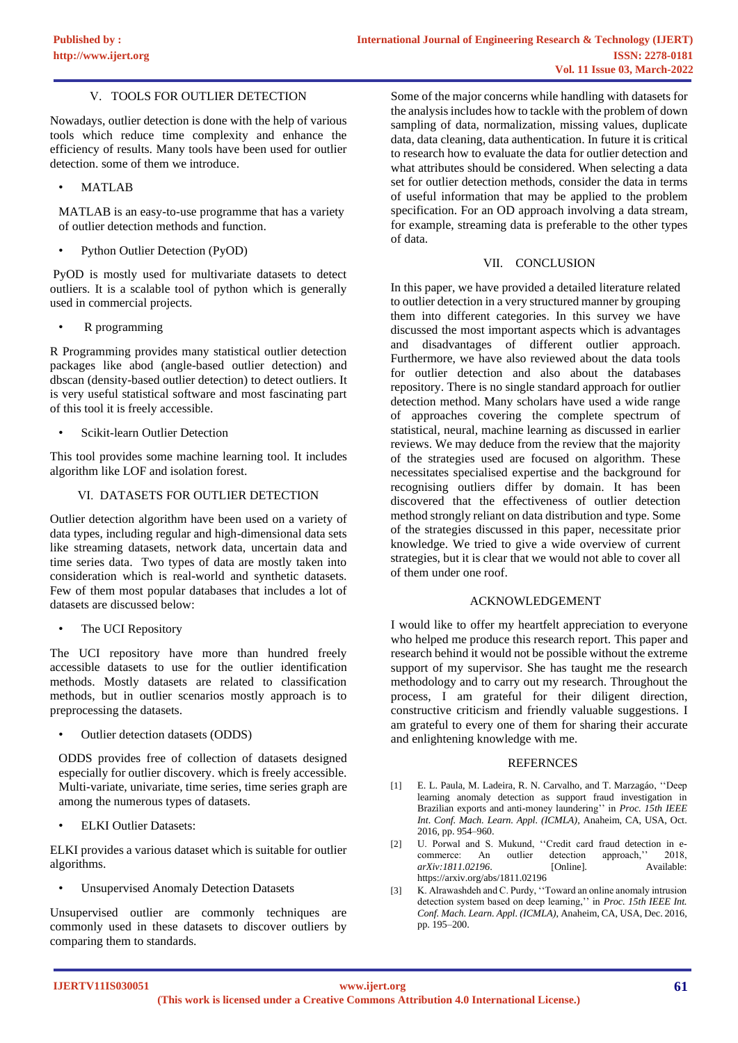## Ⅴ. TOOLS FOR OUTLIER DETECTION

Nowadays, outlier detection is done with the help of various tools which reduce time complexity and enhance the efficiency of results. Many tools have been used for outlier detection. some of them we introduce.

• MATLAB

MATLAB is an easy-to-use programme that has a variety of outlier detection methods and function.

• Python Outlier Detection (PyOD)

PyOD is mostly used for multivariate datasets to detect outliers. It is a scalable tool of python which is generally used in commercial projects.

• R programming

R Programming provides many statistical outlier detection packages like abod (angle-based outlier detection) and dbscan (density-based outlier detection) to detect outliers. It is very useful statistical software and most fascinating part of this tool it is freely accessible.

Scikit-learn Outlier Detection

This tool provides some machine learning tool. It includes algorithm like LOF and isolation forest.

## Ⅵ. DATASETS FOR OUTLIER DETECTION

Outlier detection algorithm have been used on a variety of data types, including regular and high-dimensional data sets like streaming datasets, network data, uncertain data and time series data. Two types of data are mostly taken into consideration which is real-world and synthetic datasets. Few of them most popular databases that includes a lot of datasets are discussed below:

The UCI Repository

The UCI repository have more than hundred freely accessible datasets to use for the outlier identification methods. Mostly datasets are related to classification methods, but in outlier scenarios mostly approach is to preprocessing the datasets.

• Outlier detection datasets (ODDS)

ODDS provides free of collection of datasets designed especially for outlier discovery. which is freely accessible. Multi-variate, univariate, time series, time series graph are among the numerous types of datasets.

• ELKI Outlier Datasets:

ELKI provides a various dataset which is suitable for outlier algorithms.

• Unsupervised Anomaly Detection Datasets

Unsupervised outlier are commonly techniques are commonly used in these datasets to discover outliers by comparing them to standards.

Some of the major concerns while handling with datasets for the analysis includes how to tackle with the problem of down sampling of data, normalization, missing values, duplicate data, data cleaning, data authentication. In future it is critical to research how to evaluate the data for outlier detection and what attributes should be considered. When selecting a data set for outlier detection methods, consider the data in terms of useful information that may be applied to the problem specification. For an OD approach involving a data stream, for example, streaming data is preferable to the other types of data.

## Ⅶ. CONCLUSION

In this paper, we have provided a detailed literature related to outlier detection in a very structured manner by grouping them into different categories. In this survey we have discussed the most important aspects which is advantages and disadvantages of different outlier approach. Furthermore, we have also reviewed about the data tools for outlier detection and also about the databases repository. There is no single standard approach for outlier detection method. Many scholars have used a wide range of approaches covering the complete spectrum of statistical, neural, machine learning as discussed in earlier reviews. We may deduce from the review that the majority of the strategies used are focused on algorithm. These necessitates specialised expertise and the background for recognising outliers differ by domain. It has been discovered that the effectiveness of outlier detection method strongly reliant on data distribution and type. Some of the strategies discussed in this paper, necessitate prior knowledge. We tried to give a wide overview of current strategies, but it is clear that we would not able to cover all of them under one roof.

## ACKNOWLEDGEMENT

I would like to offer my heartfelt appreciation to everyone who helped me produce this research report. This paper and research behind it would not be possible without the extreme support of my supervisor. She has taught me the research methodology and to carry out my research. Throughout the process, I am grateful for their diligent direction, constructive criticism and friendly valuable suggestions. I am grateful to every one of them for sharing their accurate and enlightening knowledge with me.

## REFERNCES

- [1] E. L. Paula, M. Ladeira, R. N. Carvalho, and T. Marzagáo, ''Deep learning anomaly detection as support fraud investigation in Brazilian exports and anti-money laundering'' in *Proc. 15th IEEE Int. Conf. Mach. Learn. Appl. (ICMLA)*, Anaheim, CA, USA, Oct. 2016, pp. 954–960.
- [2] U. Porwal and S. Mukund, "Credit card fraud detection in ecommerce: An outlier detection approach,'' 2018, *arXiv:1811.02196*. [Online]. Available: https://arxiv.org/abs/1811.02196
- [3] K. Alrawashdeh and C. Purdy, ''Toward an online anomaly intrusion detection system based on deep learning,'' in *Proc. 15th IEEE Int. Conf. Mach. Learn. Appl. (ICMLA)*, Anaheim, CA, USA, Dec. 2016, pp. 195–200.